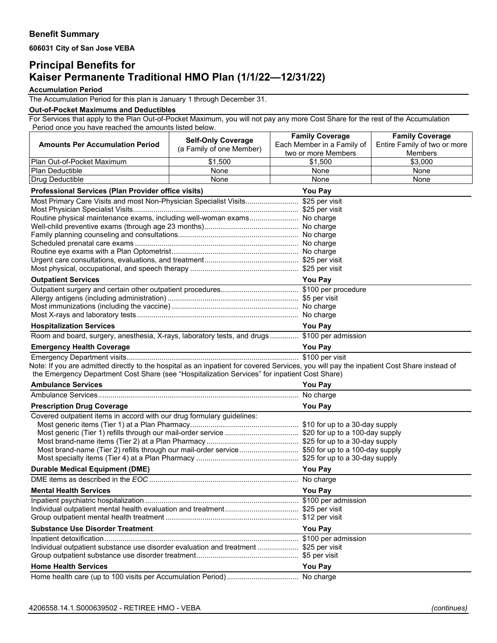**606031 City of San Jose VEBA**

## **Principal Benefits for Kaiser Permanente Traditional HMO Plan (1/1/22—12/31/22)**

**Accumulation Period**

The Accumulation Period for this plan is January 1 through December 31.

## **Out-of-Pocket Maximums and Deductibles**

For Services that apply to the Plan Out-of-Pocket Maximum, you will not pay any more Cost Share for the rest of the Accumulation Period once you have reached the amounts listed below.

|                                                                                                                                           | <b>Self-Only Coverage</b> | <b>Family Coverage</b>         | <b>Family Coverage</b>       |  |
|-------------------------------------------------------------------------------------------------------------------------------------------|---------------------------|--------------------------------|------------------------------|--|
| <b>Amounts Per Accumulation Period</b>                                                                                                    | (a Family of one Member)  | Each Member in a Family of     | Entire Family of two or more |  |
|                                                                                                                                           |                           | two or more Members<br>\$1,500 | Members<br>\$3,000           |  |
| Plan Out-of-Pocket Maximum<br>Plan Deductible                                                                                             | \$1,500<br>None           | None                           | None                         |  |
| Drug Deductible                                                                                                                           | None                      | None                           | None                         |  |
|                                                                                                                                           |                           | You Pay                        |                              |  |
| Professional Services (Plan Provider office visits)<br>Most Primary Care Visits and most Non-Physician Specialist Visits \$25 per visit   |                           |                                |                              |  |
|                                                                                                                                           |                           |                                |                              |  |
| Routine physical maintenance exams, including well-woman exams No charge                                                                  |                           |                                |                              |  |
|                                                                                                                                           |                           |                                |                              |  |
|                                                                                                                                           |                           |                                |                              |  |
|                                                                                                                                           |                           |                                |                              |  |
|                                                                                                                                           |                           |                                |                              |  |
|                                                                                                                                           |                           |                                |                              |  |
|                                                                                                                                           |                           |                                |                              |  |
| <b>Outpatient Services</b>                                                                                                                | <b>You Pay</b>            |                                |                              |  |
|                                                                                                                                           |                           |                                |                              |  |
|                                                                                                                                           |                           |                                |                              |  |
|                                                                                                                                           |                           |                                |                              |  |
| <b>Hospitalization Services</b>                                                                                                           |                           | <b>You Pay</b>                 |                              |  |
| Room and board, surgery, anesthesia, X-rays, laboratory tests, and drugs \$100 per admission                                              |                           |                                |                              |  |
| <b>Emergency Health Coverage</b>                                                                                                          |                           | <b>You Pay</b>                 |                              |  |
|                                                                                                                                           |                           |                                |                              |  |
| Note: If you are admitted directly to the hospital as an inpatient for covered Services, you will pay the inpatient Cost Share instead of |                           |                                |                              |  |
| the Emergency Department Cost Share (see "Hospitalization Services" for inpatient Cost Share)                                             |                           |                                |                              |  |
| <b>Ambulance Services</b>                                                                                                                 |                           | <b>You Pay</b>                 |                              |  |
|                                                                                                                                           |                           |                                |                              |  |
| <b>Prescription Drug Coverage</b>                                                                                                         |                           | <b>You Pay</b>                 |                              |  |
| Covered outpatient items in accord with our drug formulary guidelines:                                                                    |                           |                                |                              |  |
|                                                                                                                                           |                           |                                |                              |  |
| Most generic (Tier 1) refills through our mail-order service  \$20 for up to a 100-day supply                                             |                           |                                |                              |  |
| Most brand-name (Tier 2) refills through our mail-order service \$50 for up to a 100-day supply                                           |                           |                                |                              |  |
|                                                                                                                                           |                           |                                |                              |  |
| <b>Durable Medical Equipment (DME)</b>                                                                                                    |                           | <b>You Pay</b>                 |                              |  |
|                                                                                                                                           |                           |                                |                              |  |
| <b>Mental Health Services</b>                                                                                                             |                           | You Pay                        |                              |  |
|                                                                                                                                           |                           |                                |                              |  |
|                                                                                                                                           |                           |                                |                              |  |
|                                                                                                                                           |                           |                                |                              |  |
| <b>Substance Use Disorder Treatment</b>                                                                                                   | <b>You Pay</b>            |                                |                              |  |
|                                                                                                                                           |                           |                                |                              |  |
| Individual outpatient substance use disorder evaluation and treatment  \$25 per visit                                                     |                           |                                |                              |  |
|                                                                                                                                           |                           |                                |                              |  |
| <b>Home Health Services</b>                                                                                                               | <b>You Pay</b>            |                                |                              |  |
|                                                                                                                                           |                           |                                |                              |  |